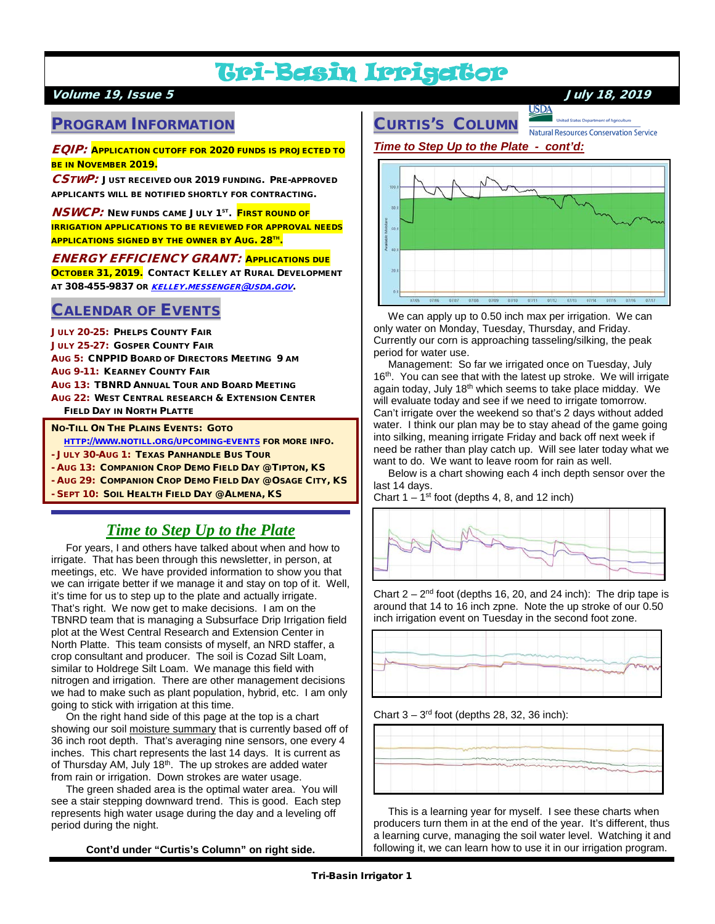# Tri-Basin Irrigator

## Volume 19, Issue 5 July 18, 2019

## PROGRAM INFORMATION

EQIP: APPLICATION CUTOFF FOR 2020 FUNDS IS PROJECTED TO BE IN NOVEMBER 2019.

CSTWP: JUST RECEIVED OUR 2019 FUNDING. PRE-APPROVED APPLICANTS WILL BE NOTIFIED SHORTLY FOR CONTRACTING.

**NSWCP:** NEW FUNDS CAME JULY 1<sup>ST</sup>. FIRST ROUND OF IRRIGATION APPLICATIONS TO BE REVIEWED FOR APPROVAL NEEDS APPLICATIONS SIGNED BY THE OWNER BY AUG. 28TH.

ENERGY EFFICIENCY GRANT: APPLICATIONS DUE OCTOBER 31, 2019. CONTACT KELLEY AT RURAL DEVELOPMENT AT 308-455-9837 OR [KELLEY.MESSENGER@USDA.GOV](mailto:kelley.messenger@usda.gov).

## CALENDAR OF EVENTS

JULY 20-25: PHELPS COUNTY FAIR JULY 25-27: GOSPER COUNTY FAIR AUG 5: CNPPID BOARD OF DIRECTORS MEETING 9 AM AUG 9-11: KEARNEY COUNTY FAIR AUG 13: TBNRD ANNUAL TOUR AND BOARD MEETING AUG 22: WEST CENTRAL RESEARCH & EXTENSION CENTER FIELD DAY IN NORTH PLATTE

NO-TILL ON THE PLAINS EVENTS: GOTO

[HTTP://WWW.NOTILL.ORG/UPCOMING-EVENTS](http://www.notill.org/upcoming-events) FOR MORE INFO.

- JULY 30-AUG 1: TEXAS PANHANDLE BUS TOUR

- AUG 13: COMPANION CROP DEMO FIELD DAY @ TIPTON, KS
- AUG 29: COMPANION CROP DEMO FIELD DAY @ OSAGE CITY, KS

SEPT 10: SOIL HEALTH FIELD DAY @ ALMENA, KS

## *Time to Step Up to the Plate*

 For years, I and others have talked about when and how to irrigate. That has been through this newsletter, in person, at meetings, etc. We have provided information to show you that we can irrigate better if we manage it and stay on top of it. Well, it's time for us to step up to the plate and actually irrigate. That's right. We now get to make decisions. I am on the TBNRD team that is managing a Subsurface Drip Irrigation field plot at the West Central Research and Extension Center in North Platte. This team consists of myself, an NRD staffer, a crop consultant and producer. The soil is Cozad Silt Loam, similar to Holdrege Silt Loam. We manage this field with nitrogen and irrigation. There are other management decisions we had to make such as plant population, hybrid, etc. I am only going to stick with irrigation at this time.

 On the right hand side of this page at the top is a chart showing our soil moisture summary that is currently based off of 36 inch root depth. That's averaging nine sensors, one every 4 inches. This chart represents the last 14 days. It is current as of Thursday AM, July 18<sup>th</sup>. The up strokes are added water from rain or irrigation. Down strokes are water usage.

 The green shaded area is the optimal water area. You will see a stair stepping downward trend. This is good. Each step represents high water usage during the day and a leveling off period during the night.

**Cont'd under "Curtis's Column" on right side.**

# CURTIS'S COLUMN

**USDA** Natural Resources Conservation Service





 We can apply up to 0.50 inch max per irrigation. We can only water on Monday, Tuesday, Thursday, and Friday. Currently our corn is approaching tasseling/silking, the peak period for water use.

 Management: So far we irrigated once on Tuesday, July 16<sup>th</sup>. You can see that with the latest up stroke. We will irrigate again today, July 18<sup>th</sup> which seems to take place midday. We will evaluate today and see if we need to irrigate tomorrow. Can't irrigate over the weekend so that's 2 days without added water. I think our plan may be to stay ahead of the game going into silking, meaning irrigate Friday and back off next week if need be rather than play catch up. Will see later today what we want to do. We want to leave room for rain as well.

 Below is a chart showing each 4 inch depth sensor over the last 14 days.

Chart  $1 - 1$ <sup>st</sup> foot (depths 4, 8, and 12 inch)



Chart  $2 - 2<sup>nd</sup>$  foot (depths 16, 20, and 24 inch): The drip tape is around that 14 to 16 inch zpne. Note the up stroke of our 0.50 inch irrigation event on Tuesday in the second foot zone.



Chart  $3 - 3^{rd}$  foot (depths 28, 32, 36 inch):



 This is a learning year for myself. I see these charts when producers turn them in at the end of the year. It's different, thus a learning curve, managing the soil water level. Watching it and following it, we can learn how to use it in our irrigation program.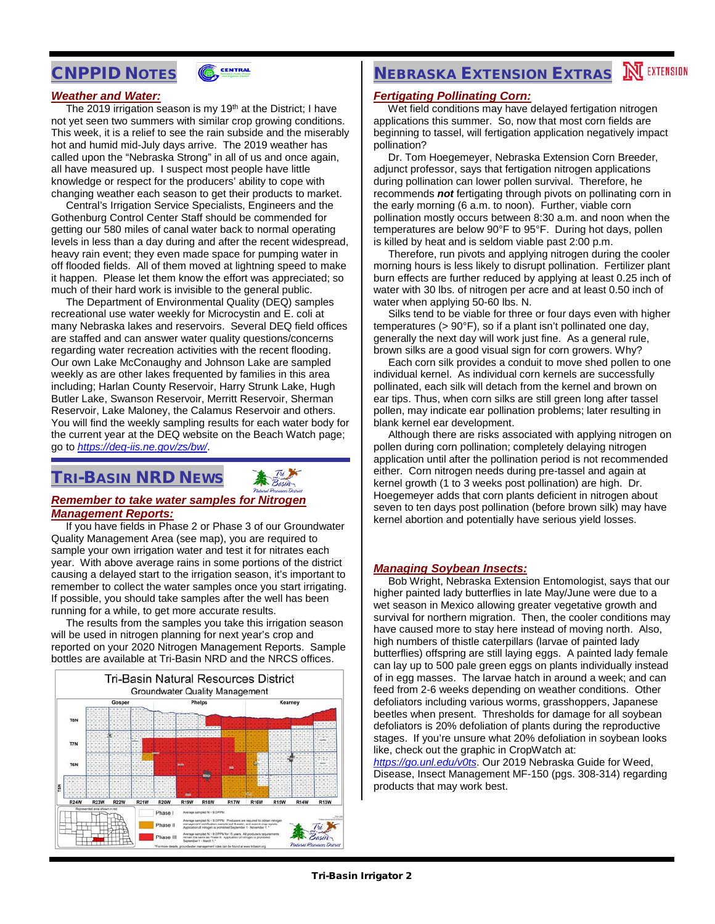## CNPPID NOTES



#### *Weather and Water:*

The 2019 irrigation season is my 19<sup>th</sup> at the District; I have not yet seen two summers with similar crop growing conditions. This week, it is a relief to see the rain subside and the miserably hot and humid mid-July days arrive. The 2019 weather has called upon the "Nebraska Strong" in all of us and once again, all have measured up. I suspect most people have little knowledge or respect for the producers' ability to cope with changing weather each season to get their products to market.

 Central's Irrigation Service Specialists, Engineers and the Gothenburg Control Center Staff should be commended for getting our 580 miles of canal water back to normal operating levels in less than a day during and after the recent widespread, heavy rain event; they even made space for pumping water in off flooded fields. All of them moved at lightning speed to make it happen. Please let them know the effort was appreciated; so much of their hard work is invisible to the general public.

 The Department of Environmental Quality (DEQ) samples recreational use water weekly for Microcystin and E. coli at many Nebraska lakes and reservoirs. Several DEQ field offices are staffed and can answer water quality questions/concerns regarding water recreation activities with the recent flooding. Our own Lake McConaughy and Johnson Lake are sampled weekly as are other lakes frequented by families in this area including; Harlan County Reservoir, Harry Strunk Lake, Hugh Butler Lake, Swanson Reservoir, Merritt Reservoir, Sherman Reservoir, Lake Maloney, the Calamus Reservoir and others. You will find the weekly sampling results for each water body for the current year at the DEQ website on the Beach Watch page; go to *<https://deq-iis.ne.gov/zs/bw/>*.

## TRI-BASIN NRD NEWS



#### *Remember to take water samples for Nitrogen Management Reports:*

 If you have fields in Phase 2 or Phase 3 of our Groundwater Quality Management Area (see map), you are required to sample your own irrigation water and test it for nitrates each year. With above average rains in some portions of the district causing a delayed start to the irrigation season, it's important to remember to collect the water samples once you start irrigating. If possible, you should take samples after the well has been running for a while, to get more accurate results.

 The results from the samples you take this irrigation season will be used in nitrogen planning for next year's crop and reported on your 2020 Nitrogen Management Reports. Sample bottles are available at Tri-Basin NRD and the NRCS offices.



# **NEBRASKA EXTENSION EXTRAS MEXTENSION**

#### *Fertigating Pollinating Corn:*

 Wet field conditions may have delayed fertigation nitrogen applications this summer. So, now that most corn fields are beginning to tassel, will fertigation application negatively impact pollination?

 Dr. Tom Hoegemeyer, Nebraska Extension Corn Breeder, adjunct professor, says that fertigation nitrogen applications during pollination can lower pollen survival. Therefore, he recommends *not* fertigating through pivots on pollinating corn in the early morning (6 a.m. to noon). Further, viable corn pollination mostly occurs between 8:30 a.m. and noon when the temperatures are below 90°F to 95°F. During hot days, pollen is killed by heat and is seldom viable past 2:00 p.m.

 Therefore, run pivots and applying nitrogen during the cooler morning hours is less likely to disrupt pollination. Fertilizer plant burn effects are further reduced by applying at least 0.25 inch of water with 30 lbs. of nitrogen per acre and at least 0.50 inch of water when applying 50-60 lbs. N.

 Silks tend to be viable for three or four days even with higher temperatures (> 90°F), so if a plant isn't pollinated one day, generally the next day will work just fine. As a general rule, brown silks are a good visual sign for corn growers. Why?

 Each corn silk provides a conduit to move shed pollen to one individual kernel. As individual corn kernels are successfully pollinated, each silk will detach from the kernel and brown on ear tips. Thus, when corn silks are still green long after tassel pollen, may indicate ear pollination problems; later resulting in blank kernel ear development.

 Although there are risks associated with applying nitrogen on pollen during corn pollination; completely delaying nitrogen application until after the pollination period is not recommended either. Corn nitrogen needs during pre-tassel and again at kernel growth (1 to 3 weeks post pollination) are high. Dr. Hoegemeyer adds that corn plants deficient in nitrogen about seven to ten days post pollination (before brown silk) may have kernel abortion and potentially have serious yield losses.

#### *Managing Soybean Insects:*

 Bob Wright, Nebraska Extension Entomologist, says that our higher painted lady butterflies in late May/June were due to a wet season in Mexico allowing greater vegetative growth and survival for northern migration. Then, the cooler conditions may have caused more to stay here instead of moving north. Also, high numbers of thistle caterpillars (larvae of painted lady butterflies) offspring are still laying eggs. A painted lady female can lay up to 500 pale green eggs on plants individually instead of in egg masses. The larvae hatch in around a week; and can feed from 2-6 weeks depending on weather conditions. Other defoliators including various worms, grasshoppers, Japanese beetles when present. Thresholds for damage for all soybean defoliators is 20% defoliation of plants during the reproductive stages. If you're unsure what 20% defoliation in soybean looks like, check out the graphic in CropWatch at:

*<https://go.unl.edu/v0ts>*. Our 2019 Nebraska Guide for Weed, Disease, Insect Management MF-150 (pgs. 308-314) regarding products that may work best.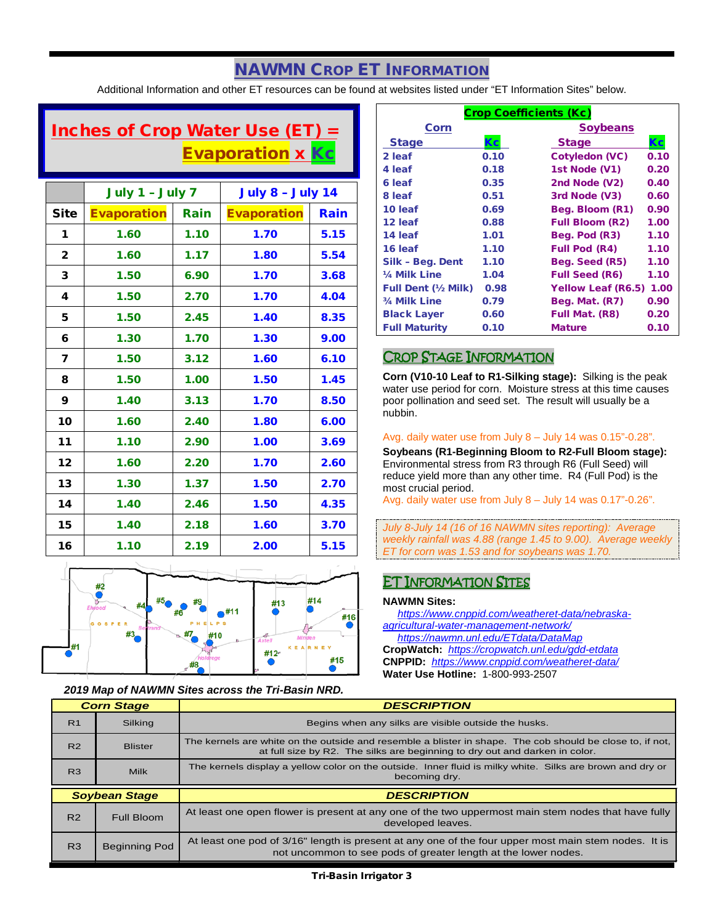# NAWMN CROP ET INFORMATION

Additional Information and other ET resources can be found at websites listed under "ET Information Sites" below.

# Inches of Crop Water Use (ET)  $=$ **Evaporation x Kc**

|                | July 1 - July 7    |      | <b>July 8 - July 14</b> |      |
|----------------|--------------------|------|-------------------------|------|
| <b>Site</b>    | <b>Evaporation</b> | Rain | <b>Evaporation</b>      | Rain |
| 1              | 1.60               | 1.10 | 1.70                    | 5.15 |
| $\overline{2}$ | 1.60               | 1.17 | 1.80                    | 5.54 |
| 3              | 1.50               | 6.90 | 1.70                    | 3.68 |
| 4              | 1.50               | 2.70 | 1.70                    | 4.04 |
| 5              | 1.50               | 2.45 | 1.40                    | 8.35 |
| 6              | 1.30               | 1.70 | 1.30                    | 9.00 |
| 7              | 1.50               | 3.12 | 1.60                    | 6.10 |
| 8              | 1.50               | 1.00 | 1.50                    | 1.45 |
| 9              | 1.40               | 3.13 | 1.70                    | 8.50 |
| 10             | 1.60               | 2.40 | 1.80                    | 6.00 |
| 11             | 1.10               | 2.90 | 1.00                    | 3.69 |
| 12             | 1.60               | 2.20 | 1.70                    | 2.60 |
| 13             | 1.30               | 1.37 | 1.50                    | 2.70 |
| 14             | 1.40               | 2.46 | 1.50                    | 4.35 |
| 15             | 1.40               | 2.18 | 1.60                    | 3.70 |
| 16             | 1.10               | 2.19 | 2.00                    | 5.15 |



#### *2019 Map of NAWMN Sites across the Tri-Basin NRD.*

| <b>Crop Coefficients (Kc)</b> |      |                           |      |  |
|-------------------------------|------|---------------------------|------|--|
| Corn                          |      | <b>Soybeans</b>           |      |  |
| <b>Stage</b>                  | Кc   | <b>Stage</b>              | Кc   |  |
| 2 leaf                        | 0.10 | <b>Cotyledon (VC)</b>     | 0.10 |  |
| 4 leaf                        | 0.18 | 1st Node (V1)             | 0.20 |  |
| 6 leaf                        | 0.35 | 2nd Node (V2)             | 0.40 |  |
| 8 leaf                        | 0.51 | 3rd Node (V3)             | 0.60 |  |
| 10 leaf                       | 0.69 | Beg. Bloom (R1)           | 0.90 |  |
| 12 leaf                       | 0.88 | <b>Full Bloom (R2)</b>    | 1.00 |  |
| 14 leaf                       | 1.01 | Beg. Pod (R3)             | 1.10 |  |
| 16 leaf                       | 1.10 | <b>Full Pod (R4)</b>      | 1.10 |  |
| Silk - Beg. Dent              | 1.10 | Beg. Seed (R5)            | 1.10 |  |
| 1/4 Milk Line                 | 1.04 | <b>Full Seed (R6)</b>     | 1.10 |  |
| <b>Full Dent (½ Milk)</b>     | 0.98 | <b>Yellow Leaf (R6.5)</b> | 1.00 |  |
| 3/4 Milk Line                 | 0.79 | Beg. Mat. (R7)            | 0.90 |  |
| <b>Black Layer</b>            | 0.60 | Full Mat. (R8)            | 0.20 |  |
| <b>Full Maturity</b>          | 0.10 | <b>Mature</b>             | 0.10 |  |

### CROP STAGE INFORMATION

**Corn (V10-10 Leaf to R1-Silking stage):** Silking is the peak water use period for corn. Moisture stress at this time causes poor pollination and seed set. The result will usually be a nubbin.

#### Avg. daily water use from July 8 – July 14 was 0.15"-0.28".

**Soybeans (R1-Beginning Bloom to R2-Full Bloom stage):** Environmental stress from R3 through R6 (Full Seed) will reduce yield more than any other time. R4 (Full Pod) is the most crucial period.

Avg. daily water use from July 8 – July 14 was 0.17"-0.26".

*July 8-July 14 (16 of 16 NAWMN sites reporting): Average weekly rainfall was 4.88 (range 1.45 to 9.00). Average weekly ET for corn was 1.53 and for soybeans was 1.70.*

## ET INFORMATION SITES

#### **NAWMN Sites:**

 *[https://www.cnppid.com/weatheret-data/nebraska](https://www.cnppid.com/weatheret-data/nebraska-agricultural-water-management-network/)[agricultural-water-management-network/](https://www.cnppid.com/weatheret-data/nebraska-agricultural-water-management-network/) <https://nawmn.unl.edu/ETdata/DataMap>* **CropWatch:** *<https://cropwatch.unl.edu/gdd-etdata>* **CNPPID:** *<https://www.cnppid.com/weatheret-data/>* **Water Use Hotline:** 1-800-993-2507

| <b>Corn Stage</b> |                      | <b>DESCRIPTION</b>                                                                                                                                                                       |  |
|-------------------|----------------------|------------------------------------------------------------------------------------------------------------------------------------------------------------------------------------------|--|
| R <sub>1</sub>    | Silking              | Begins when any silks are visible outside the husks.                                                                                                                                     |  |
| R <sub>2</sub>    | <b>Blister</b>       | The kernels are white on the outside and resemble a blister in shape. The cob should be close to, if not,<br>at full size by R2. The silks are beginning to dry out and darken in color. |  |
| R <sub>3</sub>    | <b>Milk</b>          | The kernels display a yellow color on the outside. Inner fluid is milky white. Silks are brown and dry or<br>becoming dry.                                                               |  |
|                   |                      |                                                                                                                                                                                          |  |
|                   | <b>Soybean Stage</b> | <b>DESCRIPTION</b>                                                                                                                                                                       |  |
| R <sub>2</sub>    | Full Bloom           | At least one open flower is present at any one of the two uppermost main stem nodes that have fully<br>developed leaves.                                                                 |  |